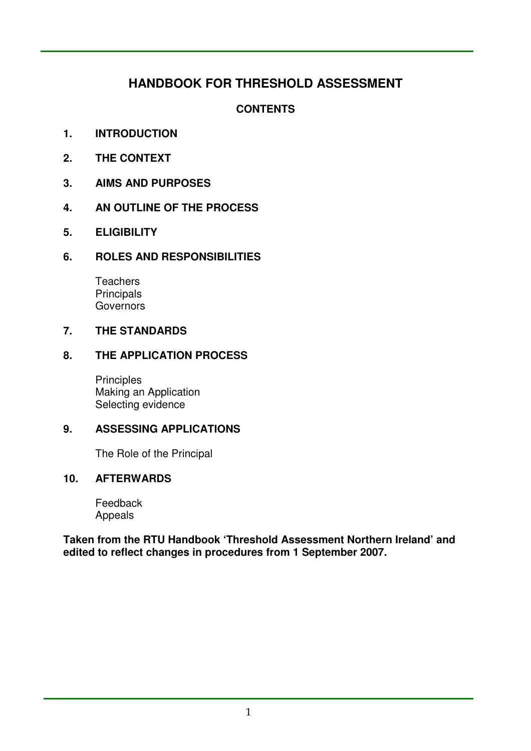# **HANDBOOK FOR THRESHOLD ASSESSMENT**

# **CONTENTS**

- **1. INTRODUCTION**
- $2<sub>1</sub>$ **2. THE CONTEXT**
- $\mathbf{3}$ **3. AIMS AND PURPOSES**
- **4. AN OUTLINE OF THE PROCESS**
- **5. ELIGIBILITY**

### **6. ROLES AND RESPONSIBILITIES**

**Teachers Principals Governors** 

#### $\overline{7}$ . **7. THE STANDARDS**

#### **8. THE APPLICATION PROCESS**

 Making an Application Selecting evidence **Principles** 

### **9. ASSESSING APPLICATIONS**

The Role of the Principal

### **10. AFTERWARDS**

Feedback Appeals

 **Taken from the RTU Handbook 'Threshold Assessment Northern Ireland' and edited to reflect changes in procedures from 1 September 2007.**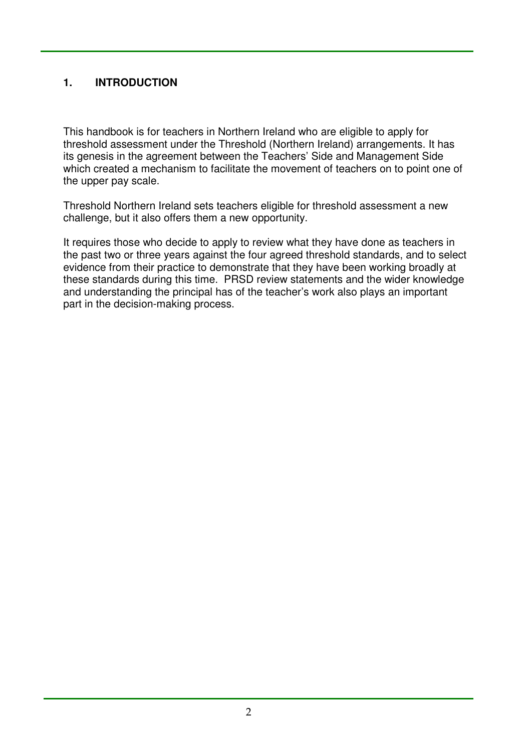# **1. INTRODUCTION**

 This handbook is for teachers in Northern Ireland who are eligible to apply for threshold assessment under the Threshold (Northern Ireland) arrangements. It has its genesis in the agreement between the Teachers' Side and Management Side which created a mechanism to facilitate the movement of teachers on to point one of the upper pay scale.

 Threshold Northern Ireland sets teachers eligible for threshold assessment a new challenge, but it also offers them a new opportunity.

 It requires those who decide to apply to review what they have done as teachers in the past two or three years against the four agreed threshold standards, and to select evidence from their practice to demonstrate that they have been working broadly at these standards during this time. PRSD review statements and the wider knowledge and understanding the principal has of the teacher's work also plays an important part in the decision-making process.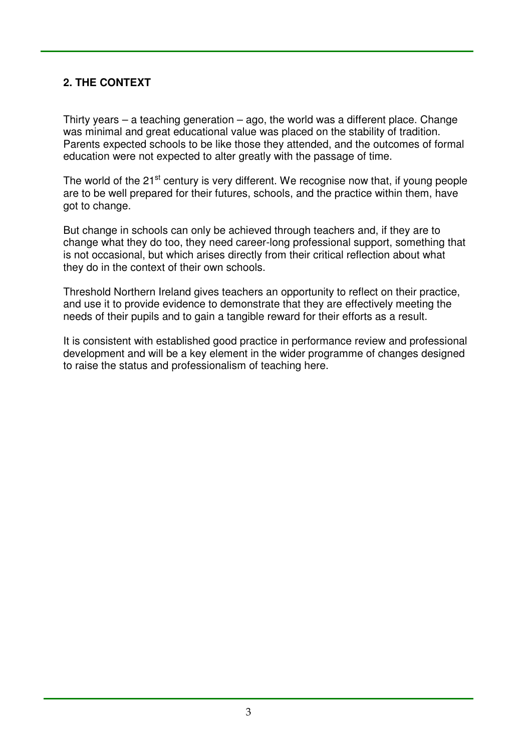# **2. THE CONTEXT**

 Thirty years – a teaching generation – ago, the world was a different place. Change was minimal and great educational value was placed on the stability of tradition. Parents expected schools to be like those they attended, and the outcomes of formal education were not expected to alter greatly with the passage of time.

The world of the 21<sup>st</sup> century is very different. We recognise now that, if young people are to be well prepared for their futures, schools, and the practice within them, have got to change.

 But change in schools can only be achieved through teachers and, if they are to change what they do too, they need career-long professional support, something that is not occasional, but which arises directly from their critical reflection about what they do in the context of their own schools.

 Threshold Northern Ireland gives teachers an opportunity to reflect on their practice, and use it to provide evidence to demonstrate that they are effectively meeting the needs of their pupils and to gain a tangible reward for their efforts as a result.

 It is consistent with established good practice in performance review and professional development and will be a key element in the wider programme of changes designed to raise the status and professionalism of teaching here.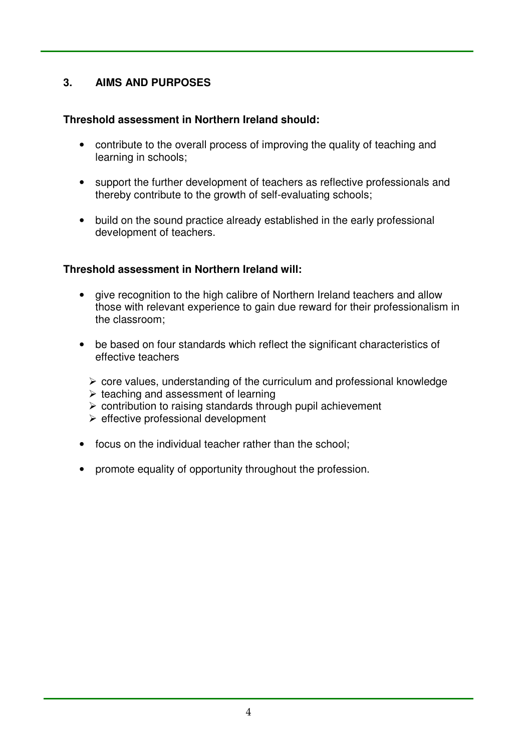#### $3.$ **3. AIMS AND PURPOSES**

## **Threshold assessment in Northern Ireland should:**

- • contribute to the overall process of improving the quality of teaching and learning in schools;
- support the further development of teachers as reflective professionals and thereby contribute to the growth of self-evaluating schools;
- build on the sound practice already established in the early professional development of teachers.

## **Threshold assessment in Northern Ireland will:**

- give recognition to the high calibre of Northern Ireland teachers and allow those with relevant experience to gain due reward for their professionalism in the classroom;
- be based on four standards which reflect the significant characteristics of effective teachers
	- $\triangleright$  core values, understanding of the curriculum and professional knowledge
	- $\triangleright$  teaching and assessment of learning
	- $\triangleright$  contribution to raising standards through pupil achievement
	- $\triangleright$  effective professional development
- focus on the individual teacher rather than the school;
- • promote equality of opportunity throughout the profession.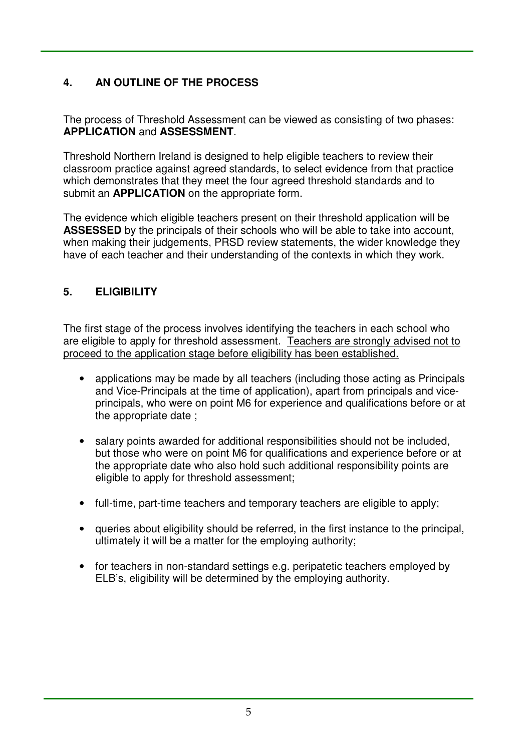#### $\mathbf{4}$ **4. AN OUTLINE OF THE PROCESS**

 The process of Threshold Assessment can be viewed as consisting of two phases: **APPLICATION** and **ASSESSMENT**.

 Threshold Northern Ireland is designed to help eligible teachers to review their classroom practice against agreed standards, to select evidence from that practice which demonstrates that they meet the four agreed threshold standards and to submit an **APPLICATION** on the appropriate form.

 The evidence which eligible teachers present on their threshold application will be **ASSESSED** by the principals of their schools who will be able to take into account, when making their judgements, PRSD review statements, the wider knowledge they have of each teacher and their understanding of the contexts in which they work.

#### **5. ELIGIBILITY**

 The first stage of the process involves identifying the teachers in each school who are eligible to apply for threshold assessment. Teachers are strongly advised not to proceed to the application stage before eligibility has been established.

- applications may be made by all teachers (including those acting as Principals and Vice-Principals at the time of application), apart from principals and vice- principals, who were on point M6 for experience and qualifications before or at the appropriate date ;
- salary points awarded for additional responsibilities should not be included, but those who were on point M6 for qualifications and experience before or at the appropriate date who also hold such additional responsibility points are eligible to apply for threshold assessment;
- full-time, part-time teachers and temporary teachers are eligible to apply;
- • queries about eligibility should be referred, in the first instance to the principal, ultimately it will be a matter for the employing authority;
- for teachers in non-standard settings e.g. peripatetic teachers employed by ELB's, eligibility will be determined by the employing authority.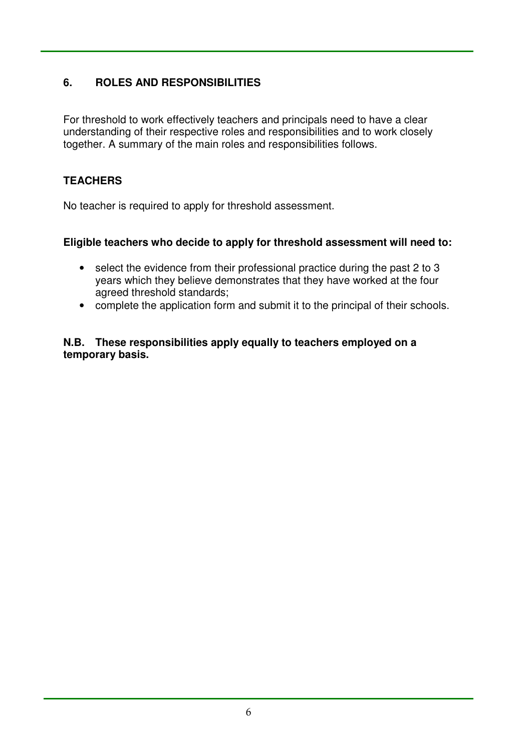#### **6. ROLES AND RESPONSIBILITIES**

 For threshold to work effectively teachers and principals need to have a clear understanding of their respective roles and responsibilities and to work closely together. A summary of the main roles and responsibilities follows.

## **TEACHERS**

No teacher is required to apply for threshold assessment.

### **Eligible teachers who decide to apply for threshold assessment will need to:**

- select the evidence from their professional practice during the past 2 to 3 years which they believe demonstrates that they have worked at the four agreed threshold standards;
- complete the application form and submit it to the principal of their schools.

#### **N.B. These responsibilities apply equally to teachers employed on a temporary basis.**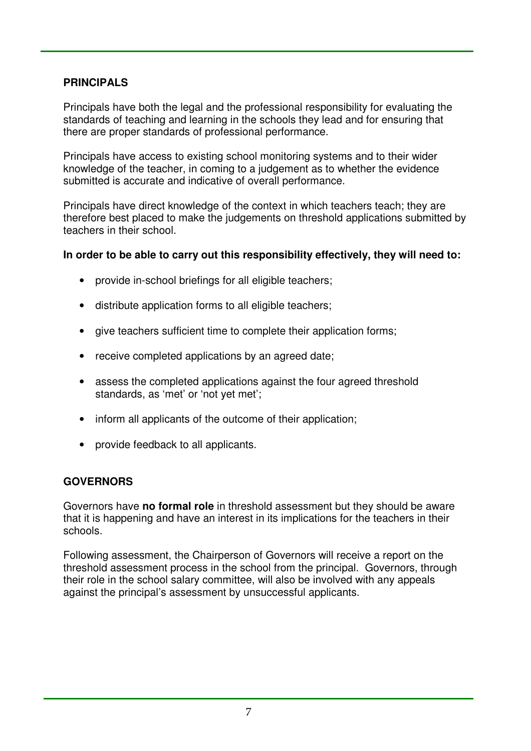## **PRINCIPALS**

 Principals have both the legal and the professional responsibility for evaluating the standards of teaching and learning in the schools they lead and for ensuring that there are proper standards of professional performance.

 Principals have access to existing school monitoring systems and to their wider knowledge of the teacher, in coming to a judgement as to whether the evidence submitted is accurate and indicative of overall performance.

 Principals have direct knowledge of the context in which teachers teach; they are therefore best placed to make the judgements on threshold applications submitted by teachers in their school.

### **In order to be able to carry out this responsibility effectively, they will need to:**

- • provide in-school briefings for all eligible teachers;
- distribute application forms to all eligible teachers;
- give teachers sufficient time to complete their application forms;
- receive completed applications by an agreed date;
- assess the completed applications against the four agreed threshold standards, as 'met' or 'not yet met';
- inform all applicants of the outcome of their application;
- • provide feedback to all applicants.

## **GOVERNORS**

 Governors have **no formal role** in threshold assessment but they should be aware that it is happening and have an interest in its implications for the teachers in their schools.

 Following assessment, the Chairperson of Governors will receive a report on the threshold assessment process in the school from the principal. Governors, through their role in the school salary committee, will also be involved with any appeals against the principal's assessment by unsuccessful applicants.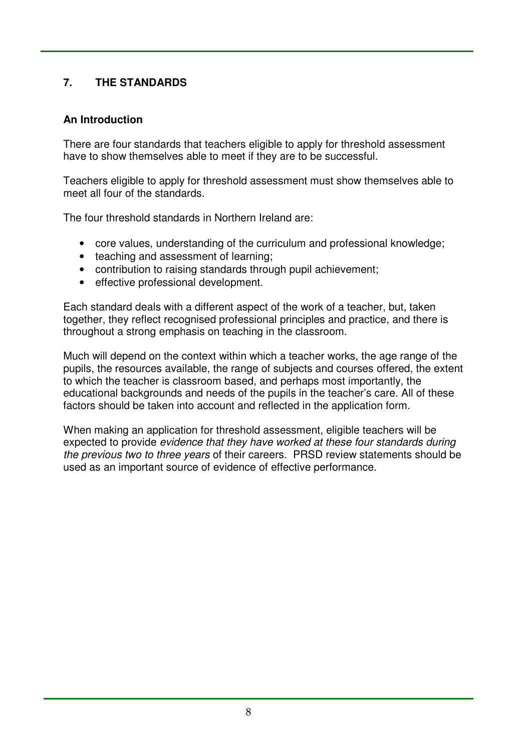#### $\overline{7}$ . **7. THE STANDARDS**

## **An Introduction**

 There are four standards that teachers eligible to apply for threshold assessment have to show themselves able to meet if they are to be successful.

 Teachers eligible to apply for threshold assessment must show themselves able to meet all four of the standards.

The four threshold standards in Northern Ireland are:

- core values, understanding of the curriculum and professional knowledge;
- teaching and assessment of learning;
- contribution to raising standards through pupil achievement;
- effective professional development.

 Each standard deals with a different aspect of the work of a teacher, but, taken together, they reflect recognised professional principles and practice, and there is throughout a strong emphasis on teaching in the classroom.

 Much will depend on the context within which a teacher works, the age range of the pupils, the resources available, the range of subjects and courses offered, the extent to which the teacher is classroom based, and perhaps most importantly, the educational backgrounds and needs of the pupils in the teacher's care. All of these factors should be taken into account and reflected in the application form.

 When making an application for threshold assessment, eligible teachers will be expected to provide *evidence that they have worked at these four standards during* the previous two to three years of their careers. PRSD review statements should be used as an important source of evidence of effective performance.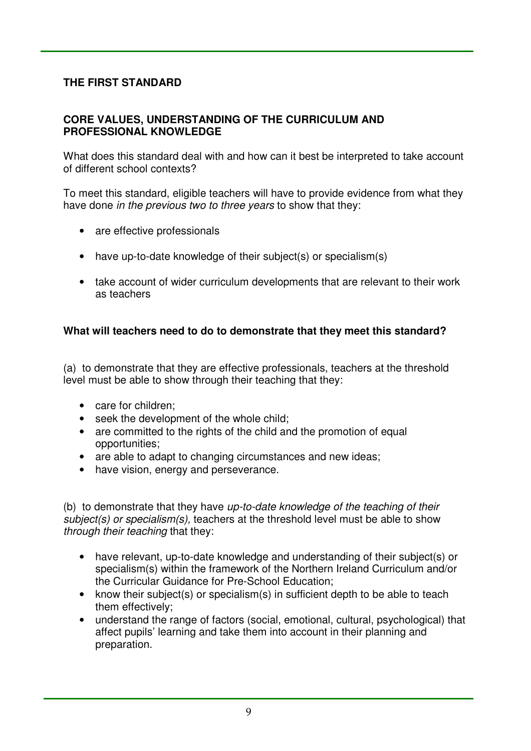## **THE FIRST STANDARD**

#### **CORE VALUES, UNDERSTANDING OF THE CURRICULUM AND PROFESSIONAL KNOWLEDGE**

 What does this standard deal with and how can it best be interpreted to take account of different school contexts?

 To meet this standard, eligible teachers will have to provide evidence from what they have done *in the previous two to three years* to show that they:

- are effective professionals
- have up-to-date knowledge of their subject(s) or specialism(s)
- take account of wider curriculum developments that are relevant to their work as teachers

### **What will teachers need to do to demonstrate that they meet this standard?**

 (a) to demonstrate that they are effective professionals, teachers at the threshold level must be able to show through their teaching that they:

- care for children;
- seek the development of the whole child;
- are committed to the rights of the child and the promotion of equal opportunities;
- are able to adapt to changing circumstances and new ideas;
- have vision, energy and perseverance.

 (b) to demonstrate that they have up-to-date knowledge of the teaching of their subject(s) or specialism(s), teachers at the threshold level must be able to show through their teaching that they:

- have relevant, up-to-date knowledge and understanding of their subject(s) or specialism(s) within the framework of the Northern Ireland Curriculum and/or the Curricular Guidance for Pre-School Education;
- know their subject(s) or specialism(s) in sufficient depth to be able to teach them effectively;
- understand the range of factors (social, emotional, cultural, psychological) that affect pupils' learning and take them into account in their planning and preparation.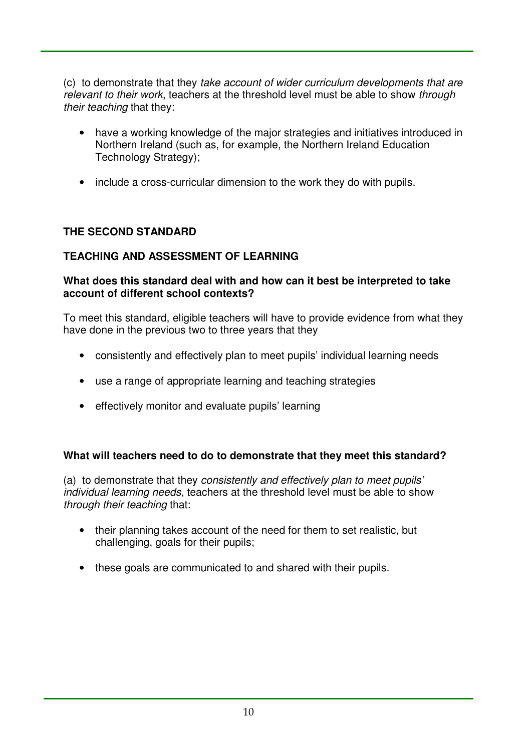(c) to demonstrate that they take account of wider curriculum developments that are relevant to their work, teachers at the threshold level must be able to show through their teaching that they:

- have a working knowledge of the major strategies and initiatives introduced in Northern Ireland (such as, for example, the Northern Ireland Education Technology Strategy);
- include a cross-curricular dimension to the work they do with pupils.

## **THE SECOND STANDARD**

## **TEACHING AND ASSESSMENT OF LEARNING**

#### **What does this standard deal with and how can it best be interpreted to take account of different school contexts?**

 To meet this standard, eligible teachers will have to provide evidence from what they have done in the previous two to three years that they

- • consistently and effectively plan to meet pupils' individual learning needs
- use a range of appropriate learning and teaching strategies
- • effectively monitor and evaluate pupils' learning

### **What will teachers need to do to demonstrate that they meet this standard?**

 (a) to demonstrate that they consistently and effectively plan to meet pupils' individual learning needs, teachers at the threshold level must be able to show through their teaching that:

- their planning takes account of the need for them to set realistic, but challenging, goals for their pupils;
- these goals are communicated to and shared with their pupils.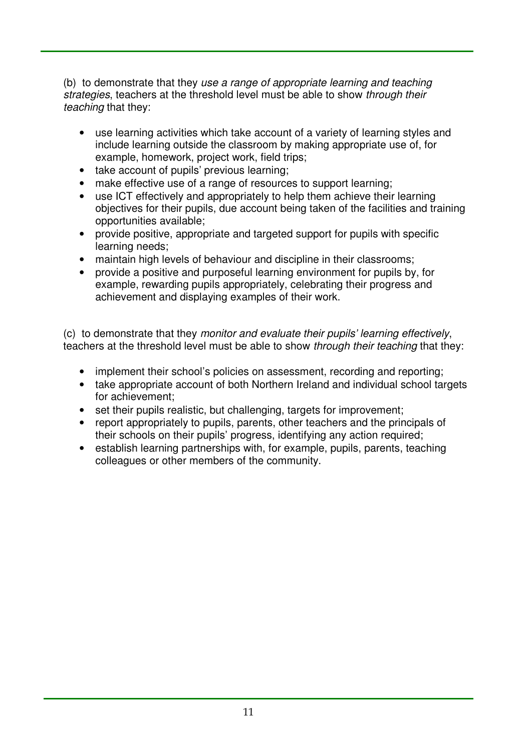(b) to demonstrate that they use a range of appropriate learning and teaching strategies, teachers at the threshold level must be able to show through their teaching that they:

- use learning activities which take account of a variety of learning styles and include learning outside the classroom by making appropriate use of, for example, homework, project work, field trips;
- take account of pupils' previous learning;
- make effective use of a range of resources to support learning;
- use ICT effectively and appropriately to help them achieve their learning objectives for their pupils, due account being taken of the facilities and training opportunities available;
- provide positive, appropriate and targeted support for pupils with specific learning needs;
- maintain high levels of behaviour and discipline in their classrooms;
- $\bullet$  example, rewarding pupils appropriately, celebrating their progress and achievement and displaying examples of their work. provide a positive and purposeful learning environment for pupils by, for

 (c) to demonstrate that they monitor and evaluate their pupils' learning effectively, teachers at the threshold level must be able to show *through their teaching* that they:

- implement their school's policies on assessment, recording and reporting;
- take appropriate account of both Northern Ireland and individual school targets for achievement;
- set their pupils realistic, but challenging, targets for improvement;
- • report appropriately to pupils, parents, other teachers and the principals of their schools on their pupils' progress, identifying any action required;
- establish learning partnerships with, for example, pupils, parents, teaching colleagues or other members of the community.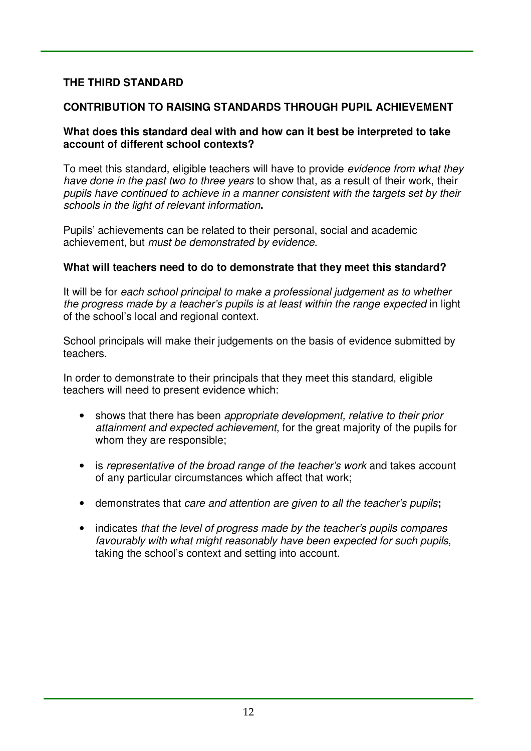## **THE THIRD STANDARD**

## **CONTRIBUTION TO RAISING STANDARDS THROUGH PUPIL ACHIEVEMENT**

#### **What does this standard deal with and how can it best be interpreted to take account of different school contexts?**

To meet this standard, eligible teachers will have to provide *evidence from what they* have done in the past two to three years to show that, as a result of their work, their pupils have continued to achieve in a manner consistent with the targets set by their schools in the light of relevant information**.** 

 Pupils' achievements can be related to their personal, social and academic achievement, but *must be demonstrated by evidence*.

#### **What will teachers need to do to demonstrate that they meet this standard?**

 It will be for each school principal to make a professional judgement as to whether the progress made by a teacher's pupils is at least within the range expected in light of the school's local and regional context.

 School principals will make their judgements on the basis of evidence submitted by teachers.

 In order to demonstrate to their principals that they meet this standard, eligible teachers will need to present evidence which:

- shows that there has been appropriate development, relative to their prior attainment and expected achievement, for the great majority of the pupils for whom they are responsible;
- is representative of the broad range of the teacher's work and takes account of any particular circumstances which affect that work;
- • demonstrates that care and attention are given to all the teacher's pupils**;**
- indicates that the level of progress made by the teacher's pupils compares favourably with what might reasonably have been expected for such pupils, taking the school's context and setting into account.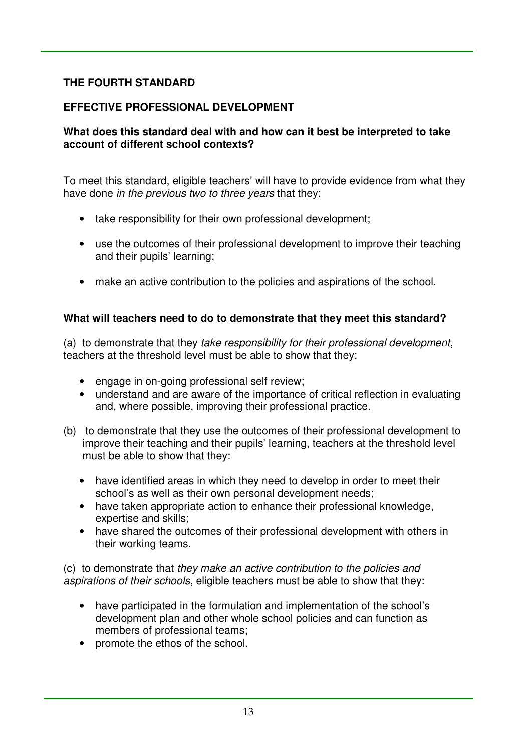# **THE FOURTH STANDARD**

# **EFFECTIVE PROFESSIONAL DEVELOPMENT**

#### **What does this standard deal with and how can it best be interpreted to take account of different school contexts?**

 To meet this standard, eligible teachers' will have to provide evidence from what they have done *in the previous two to three years* that they:

- take responsibility for their own professional development;
- use the outcomes of their professional development to improve their teaching and their pupils' learning;
- make an active contribution to the policies and aspirations of the school.

## **What will teachers need to do to demonstrate that they meet this standard?**

 (a) to demonstrate that they take responsibility for their professional development, teachers at the threshold level must be able to show that they:

- engage in on-going professional self review;
- understand and are aware of the importance of critical reflection in evaluating and, where possible, improving their professional practice.
- (b) to demonstrate that they use the outcomes of their professional development to improve their teaching and their pupils' learning, teachers at the threshold level must be able to show that they:
	- have identified areas in which they need to develop in order to meet their school's as well as their own personal development needs;
	- have taken appropriate action to enhance their professional knowledge, expertise and skills;
	- have shared the outcomes of their professional development with others in their working teams.

 (c) to demonstrate that they make an active contribution to the policies and aspirations of their schools, eligible teachers must be able to show that they:

- have participated in the formulation and implementation of the school's development plan and other whole school policies and can function as members of professional teams;
- • promote the ethos of the school.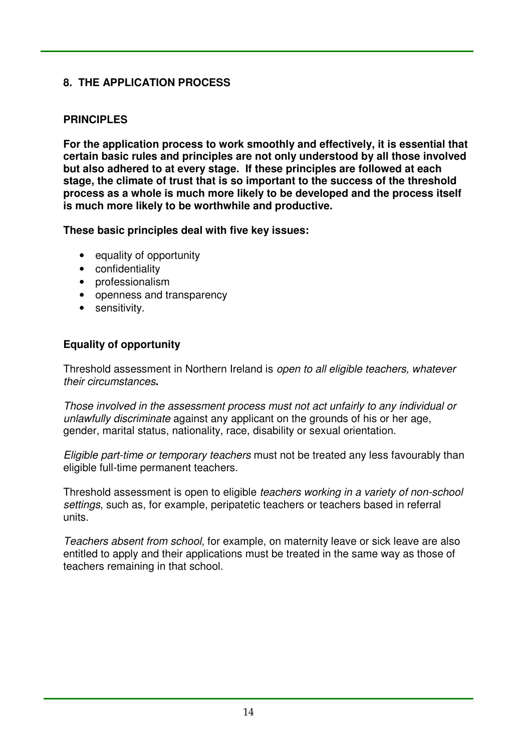# **8. THE APPLICATION PROCESS**

## **PRINCIPLES**

 **For the application process to work smoothly and effectively, it is essential that certain basic rules and principles are not only understood by all those involved but also adhered to at every stage. If these principles are followed at each stage, the climate of trust that is so important to the success of the threshold process as a whole is much more likely to be developed and the process itself is much more likely to be worthwhile and productive.** 

 **These basic principles deal with five key issues:** 

- equality of opportunity
- confidentiality
- professionalism
- openness and transparency
- sensitivity.

# **Equality of opportunity**

Threshold assessment in Northern Ireland is open to all eligible teachers, whatever their circumstances**.** 

 Those involved in the assessment process must not act unfairly to any individual or unlawfully discriminate against any applicant on the grounds of his or her age, gender, marital status, nationality, race, disability or sexual orientation.

Eligible part-time or temporary teachers must not be treated any less favourably than eligible full-time permanent teachers.

Threshold assessment is open to eligible teachers working in a variety of non-school settings, such as, for example, peripatetic teachers or teachers based in referral units.

 Teachers absent from school, for example, on maternity leave or sick leave are also entitled to apply and their applications must be treated in the same way as those of teachers remaining in that school.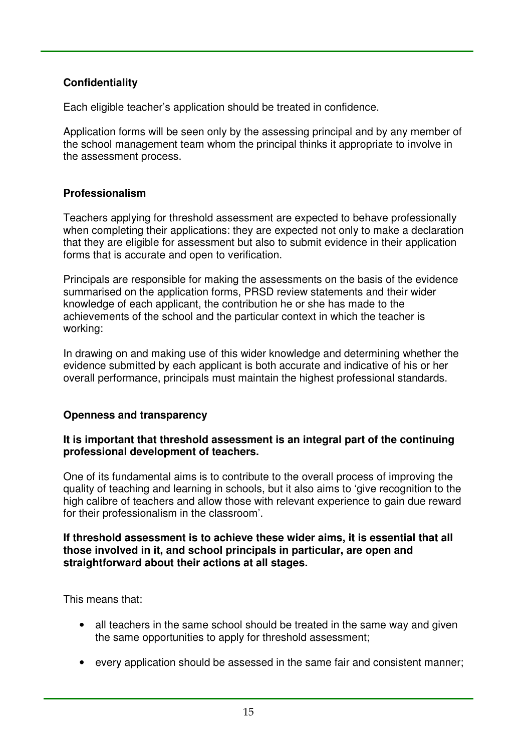# **Confidentiality**

Each eligible teacher's application should be treated in confidence.

 Application forms will be seen only by the assessing principal and by any member of the school management team whom the principal thinks it appropriate to involve in the assessment process.

## **Professionalism**

 Teachers applying for threshold assessment are expected to behave professionally when completing their applications: they are expected not only to make a declaration that they are eligible for assessment but also to submit evidence in their application forms that is accurate and open to verification.

 Principals are responsible for making the assessments on the basis of the evidence summarised on the application forms, PRSD review statements and their wider knowledge of each applicant, the contribution he or she has made to the achievements of the school and the particular context in which the teacher is working:

working:<br>In drawing on and making use of this wider knowledge and determining whether the evidence submitted by each applicant is both accurate and indicative of his or her overall performance, principals must maintain the highest professional standards.

### **Openness and transparency**

#### **It is important that threshold assessment is an integral part of the continuing professional development of teachers.**

 One of its fundamental aims is to contribute to the overall process of improving the quality of teaching and learning in schools, but it also aims to 'give recognition to the high calibre of teachers and allow those with relevant experience to gain due reward for their professionalism in the classroom'.

#### **If threshold assessment is to achieve these wider aims, it is essential that all those involved in it, and school principals in particular, are open and straightforward about their actions at all stages.**

This means that:

- all teachers in the same school should be treated in the same way and given the same opportunities to apply for threshold assessment;
- every application should be assessed in the same fair and consistent manner;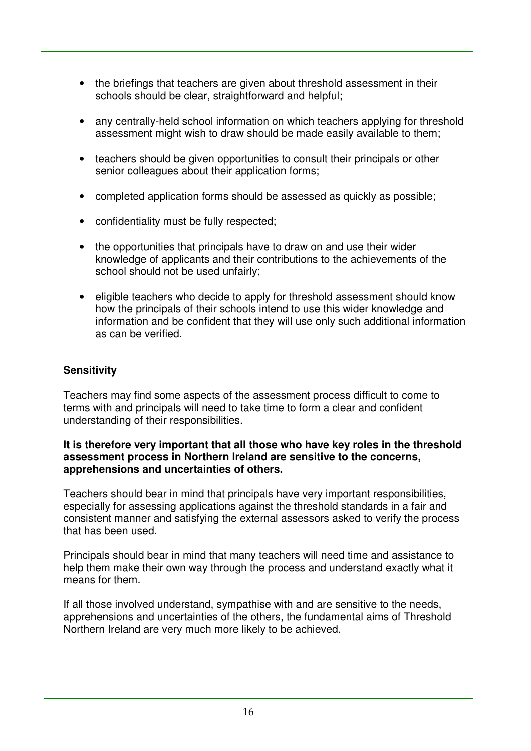- the briefings that teachers are given about threshold assessment in their schools should be clear, straightforward and helpful;
- any centrally-held school information on which teachers applying for threshold assessment might wish to draw should be made easily available to them;
- teachers should be given opportunities to consult their principals or other senior colleagues about their application forms;
- completed application forms should be assessed as quickly as possible;
- • confidentiality must be fully respected;
- the opportunities that principals have to draw on and use their wider knowledge of applicants and their contributions to the achievements of the school should not be used unfairly;
- eligible teachers who decide to apply for threshold assessment should know how the principals of their schools intend to use this wider knowledge and information and be confident that they will use only such additional information as can be verified.

## **Sensitivity**

 Teachers may find some aspects of the assessment process difficult to come to terms with and principals will need to take time to form a clear and confident understanding of their responsibilities.

#### **It is therefore very important that all those who have key roles in the threshold assessment process in Northern Ireland are sensitive to the concerns, apprehensions and uncertainties of others.**

 Teachers should bear in mind that principals have very important responsibilities, especially for assessing applications against the threshold standards in a fair and consistent manner and satisfying the external assessors asked to verify the process that has been used.

 Principals should bear in mind that many teachers will need time and assistance to help them make their own way through the process and understand exactly what it means for them.

 If all those involved understand, sympathise with and are sensitive to the needs, apprehensions and uncertainties of the others, the fundamental aims of Threshold Northern Ireland are very much more likely to be achieved.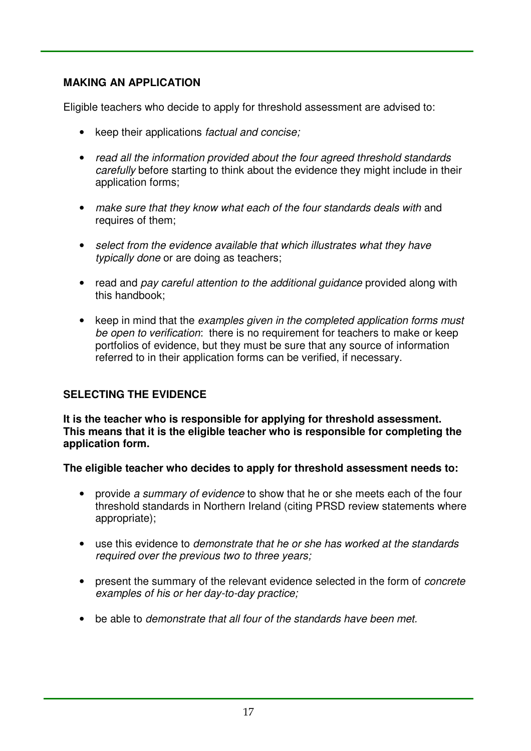# **MAKING AN APPLICATION**

Eligible teachers who decide to apply for threshold assessment are advised to:

- keep their applications factual and concise;
- read all the information provided about the four agreed threshold standards carefully before starting to think about the evidence they might include in their application forms;
- make sure that they know what each of the four standards deals with and requires of them;
- select from the evidence available that which illustrates what they have typically done or are doing as teachers;
- read and pay careful attention to the additional guidance provided along with this handbook;
- keep in mind that the examples given in the completed application forms must be open to verification: there is no requirement for teachers to make or keep portfolios of evidence, but they must be sure that any source of information referred to in their application forms can be verified, if necessary.

# **SELECTING THE EVIDENCE**

 **It is the teacher who is responsible for applying for threshold assessment. This means that it is the eligible teacher who is responsible for completing the application form.** 

 **The eligible teacher who decides to apply for threshold assessment needs to:** 

- provide a summary of evidence to show that he or she meets each of the four threshold standards in Northern Ireland (citing PRSD review statements where appropriate);
- use this evidence to demonstrate that he or she has worked at the standards required over the previous two to three years;
- present the summary of the relevant evidence selected in the form of *concrete* examples of his or her day-to-day practice;
- be able to demonstrate that all four of the standards have been met.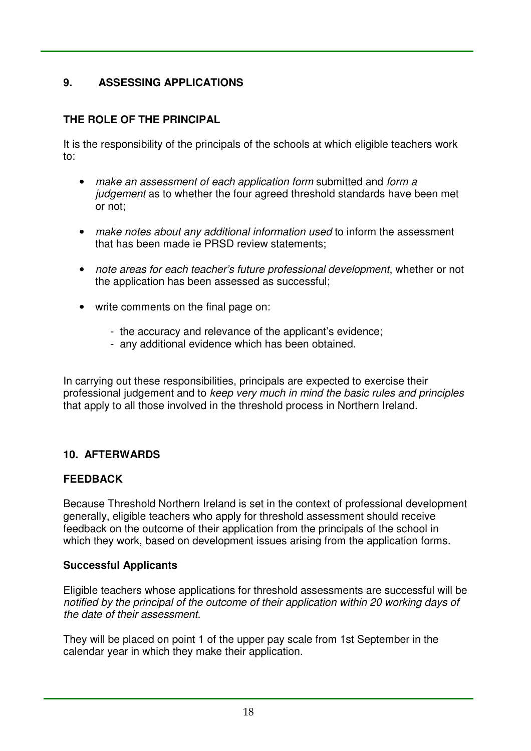#### **9**. **9. ASSESSING APPLICATIONS**

# **THE ROLE OF THE PRINCIPAL**

 It is the responsibility of the principals of the schools at which eligible teachers work to:

- make an assessment of each application form submitted and form a judgement as to whether the four agreed threshold standards have been met or not;
- make notes about any additional information used to inform the assessment that has been made ie PRSD review statements;
- note areas for each teacher's future professional development, whether or not the application has been assessed as successful;
- • write comments on the final page on:
	- the accuracy and relevance of the applicant's evidence;
	- any additional evidence which has been obtained.

 In carrying out these responsibilities, principals are expected to exercise their professional judgement and to keep very much in mind the basic rules and principles that apply to all those involved in the threshold process in Northern Ireland.

## **10. AFTERWARDS**

## **FEEDBACK**

 Because Threshold Northern Ireland is set in the context of professional development generally, eligible teachers who apply for threshold assessment should receive feedback on the outcome of their application from the principals of the school in which they work, based on development issues arising from the application forms.

### **Successful Applicants**

 Eligible teachers whose applications for threshold assessments are successful will be notified by the principal of the outcome of their application within 20 working days of the date of their assessment.

 They will be placed on point 1 of the upper pay scale from 1st September in the calendar year in which they make their application.